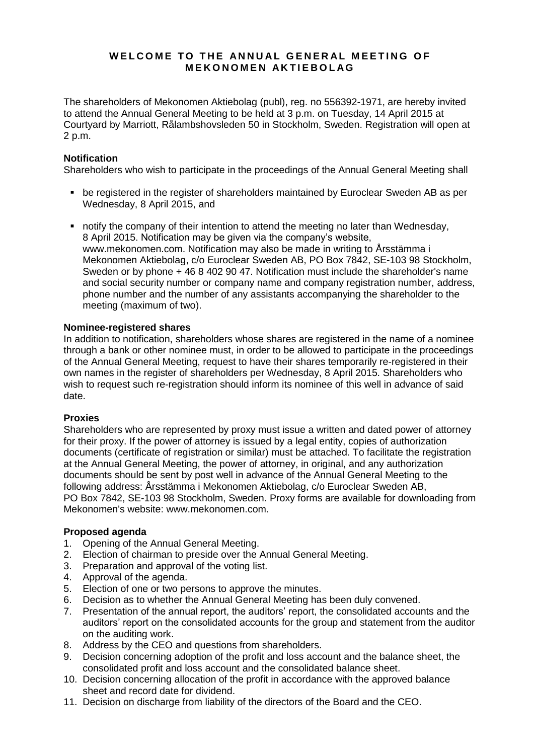# WELCOME TO THE ANNUAL GENERAL MEETING OF **M E K O N O M E N A K T I E B O L A G**

The shareholders of Mekonomen Aktiebolag (publ), reg. no 556392-1971, are hereby invited to attend the Annual General Meeting to be held at 3 p.m. on Tuesday, 14 April 2015 at Courtyard by Marriott, Rålambshovsleden 50 in Stockholm, Sweden. Registration will open at 2 p.m.

# **Notification**

Shareholders who wish to participate in the proceedings of the Annual General Meeting shall

- **be registered in the register of shareholders maintained by Euroclear Sweden AB as per** Wednesday, 8 April 2015, and
- notify the company of their intention to attend the meeting no later than Wednesday, 8 April 2015. Notification may be given via the company's website, www.mekonomen.com. Notification may also be made in writing to Årsstämma i Mekonomen Aktiebolag, c/o Euroclear Sweden AB, PO Box 7842, SE-103 98 Stockholm, Sweden or by phone  $+4684029047$ . Notification must include the shareholder's name and social security number or company name and company registration number, address, phone number and the number of any assistants accompanying the shareholder to the meeting (maximum of two).

# **Nominee-registered shares**

In addition to notification, shareholders whose shares are registered in the name of a nominee through a bank or other nominee must, in order to be allowed to participate in the proceedings of the Annual General Meeting, request to have their shares temporarily re-registered in their own names in the register of shareholders per Wednesday, 8 April 2015. Shareholders who wish to request such re-registration should inform its nominee of this well in advance of said date.

# **Proxies**

Shareholders who are represented by proxy must issue a written and dated power of attorney for their proxy. If the power of attorney is issued by a legal entity, copies of authorization documents (certificate of registration or similar) must be attached. To facilitate the registration at the Annual General Meeting, the power of attorney, in original, and any authorization documents should be sent by post well in advance of the Annual General Meeting to the following address: Årsstämma i Mekonomen Aktiebolag, c/o Euroclear Sweden AB, PO Box 7842, SE-103 98 Stockholm, Sweden. Proxy forms are available for downloading from Mekonomen's website: www.mekonomen.com.

# **Proposed agenda**

- 1. Opening of the Annual General Meeting.
- 2. Election of chairman to preside over the Annual General Meeting.
- 3. Preparation and approval of the voting list.
- 4. Approval of the agenda.
- 5. Election of one or two persons to approve the minutes.
- 6. Decision as to whether the Annual General Meeting has been duly convened.
- 7. Presentation of the annual report, the auditors' report, the consolidated accounts and the auditors' report on the consolidated accounts for the group and statement from the auditor on the auditing work.
- 8. Address by the CEO and questions from shareholders.
- 9. Decision concerning adoption of the profit and loss account and the balance sheet, the consolidated profit and loss account and the consolidated balance sheet.
- 10. Decision concerning allocation of the profit in accordance with the approved balance sheet and record date for dividend.
- 11. Decision on discharge from liability of the directors of the Board and the CEO.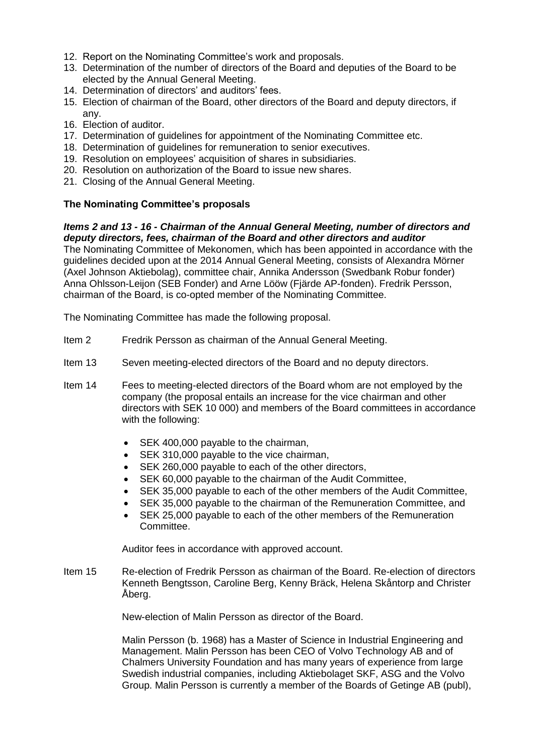- 12. Report on the Nominating Committee's work and proposals.
- 13. Determination of the number of directors of the Board and deputies of the Board to be elected by the Annual General Meeting.
- 14. Determination of directors' and auditors' fees.
- 15. Election of chairman of the Board, other directors of the Board and deputy directors, if any.
- 16. Election of auditor.
- 17. Determination of guidelines for appointment of the Nominating Committee etc.
- 18. Determination of guidelines for remuneration to senior executives.
- 19. Resolution on employees' acquisition of shares in subsidiaries.
- 20. Resolution on authorization of the Board to issue new shares.
- 21. Closing of the Annual General Meeting.

### **The Nominating Committee's proposals**

### *Items 2 and 13 - 16 - Chairman of the Annual General Meeting, number of directors and deputy directors, fees, chairman of the Board and other directors and auditor*

The Nominating Committee of Mekonomen, which has been appointed in accordance with the guidelines decided upon at the 2014 Annual General Meeting, consists of Alexandra Mörner (Axel Johnson Aktiebolag), committee chair, Annika Andersson (Swedbank Robur fonder) Anna Ohlsson-Leijon (SEB Fonder) and Arne Lööw (Fjärde AP-fonden). Fredrik Persson, chairman of the Board, is co-opted member of the Nominating Committee.

The Nominating Committee has made the following proposal.

- Item 2 Fredrik Persson as chairman of the Annual General Meeting.
- Item 13 Seven meeting-elected directors of the Board and no deputy directors.
- Item 14 Fees to meeting-elected directors of the Board whom are not employed by the company (the proposal entails an increase for the vice chairman and other directors with SEK 10 000) and members of the Board committees in accordance with the following:
	- SEK 400,000 payable to the chairman,
	- SEK 310,000 payable to the vice chairman,
	- SEK 260,000 payable to each of the other directors,
	- SEK 60,000 payable to the chairman of the Audit Committee,
	- SEK 35,000 payable to each of the other members of the Audit Committee.
	- SEK 35,000 payable to the chairman of the Remuneration Committee, and
	- SEK 25,000 payable to each of the other members of the Remuneration Committee.

Auditor fees in accordance with approved account.

Item 15 Re-election of Fredrik Persson as chairman of the Board. Re-election of directors Kenneth Bengtsson, Caroline Berg, Kenny Bräck, Helena Skåntorp and Christer Åberg.

New-election of Malin Persson as director of the Board.

Malin Persson (b. 1968) has a Master of Science in Industrial Engineering and Management. Malin Persson has been CEO of Volvo Technology AB and of Chalmers University Foundation and has many years of experience from large Swedish industrial companies, including Aktiebolaget SKF, ASG and the Volvo Group. Malin Persson is currently a member of the Boards of Getinge AB (publ),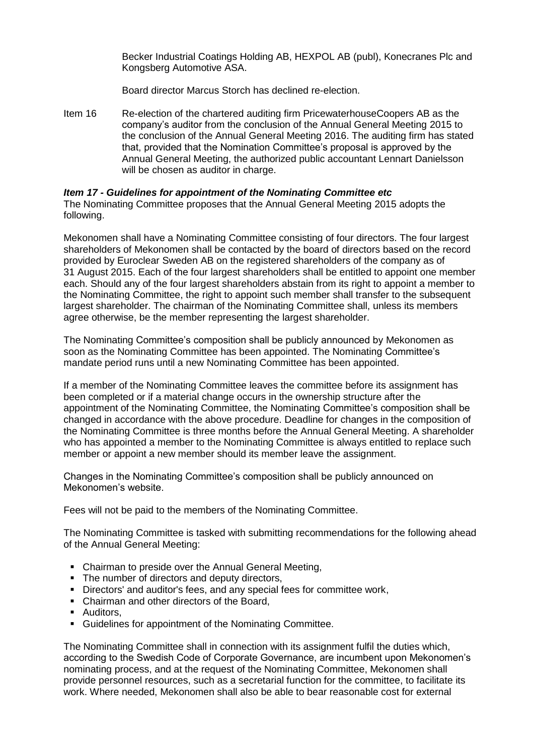Becker Industrial Coatings Holding AB, HEXPOL AB (publ), Konecranes Plc and Kongsberg Automotive ASA.

Board director Marcus Storch has declined re-election.

Item 16 Re-election of the chartered auditing firm PricewaterhouseCoopers AB as the company's auditor from the conclusion of the Annual General Meeting 2015 to the conclusion of the Annual General Meeting 2016. The auditing firm has stated that, provided that the Nomination Committee's proposal is approved by the Annual General Meeting, the authorized public accountant Lennart Danielsson will be chosen as auditor in charge.

#### *Item 17 - Guidelines for appointment of the Nominating Committee etc*

The Nominating Committee proposes that the Annual General Meeting 2015 adopts the following.

Mekonomen shall have a Nominating Committee consisting of four directors. The four largest shareholders of Mekonomen shall be contacted by the board of directors based on the record provided by Euroclear Sweden AB on the registered shareholders of the company as of 31 August 2015. Each of the four largest shareholders shall be entitled to appoint one member each. Should any of the four largest shareholders abstain from its right to appoint a member to the Nominating Committee, the right to appoint such member shall transfer to the subsequent largest shareholder. The chairman of the Nominating Committee shall, unless its members agree otherwise, be the member representing the largest shareholder.

The Nominating Committee's composition shall be publicly announced by Mekonomen as soon as the Nominating Committee has been appointed. The Nominating Committee's mandate period runs until a new Nominating Committee has been appointed.

If a member of the Nominating Committee leaves the committee before its assignment has been completed or if a material change occurs in the ownership structure after the appointment of the Nominating Committee, the Nominating Committee's composition shall be changed in accordance with the above procedure. Deadline for changes in the composition of the Nominating Committee is three months before the Annual General Meeting. A shareholder who has appointed a member to the Nominating Committee is always entitled to replace such member or appoint a new member should its member leave the assignment.

Changes in the Nominating Committee's composition shall be publicly announced on Mekonomen's website.

Fees will not be paid to the members of the Nominating Committee.

The Nominating Committee is tasked with submitting recommendations for the following ahead of the Annual General Meeting:

- Chairman to preside over the Annual General Meeting,
- The number of directors and deputy directors,
- Directors' and auditor's fees, and any special fees for committee work,
- Chairman and other directors of the Board,
- **Auditors.**
- Guidelines for appointment of the Nominating Committee.

The Nominating Committee shall in connection with its assignment fulfil the duties which, according to the Swedish Code of Corporate Governance, are incumbent upon Mekonomen's nominating process, and at the request of the Nominating Committee, Mekonomen shall provide personnel resources, such as a secretarial function for the committee, to facilitate its work. Where needed, Mekonomen shall also be able to bear reasonable cost for external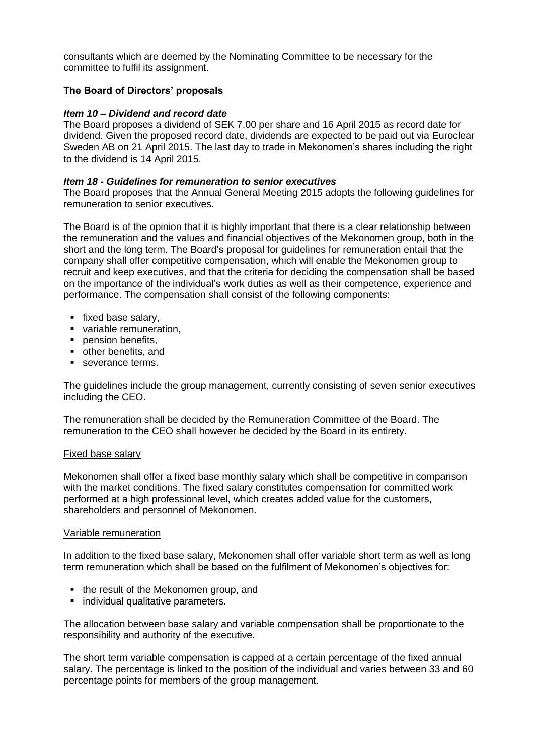consultants which are deemed by the Nominating Committee to be necessary for the committee to fulfil its assignment.

# **The Board of Directors' proposals**

#### *Item 10 – Dividend and record date*

The Board proposes a dividend of SEK 7.00 per share and 16 April 2015 as record date for dividend. Given the proposed record date, dividends are expected to be paid out via Euroclear Sweden AB on 21 April 2015. The last day to trade in Mekonomen's shares including the right to the dividend is 14 April 2015.

#### *Item 18 - Guidelines for remuneration to senior executives*

The Board proposes that the Annual General Meeting 2015 adopts the following guidelines for remuneration to senior executives.

The Board is of the opinion that it is highly important that there is a clear relationship between the remuneration and the values and financial objectives of the Mekonomen group, both in the short and the long term. The Board's proposal for guidelines for remuneration entail that the company shall offer competitive compensation, which will enable the Mekonomen group to recruit and keep executives, and that the criteria for deciding the compensation shall be based on the importance of the individual's work duties as well as their competence, experience and performance. The compensation shall consist of the following components:

- fixed base salary.
- variable remuneration,
- **pension benefits.**
- other benefits, and
- severance terms.

The guidelines include the group management, currently consisting of seven senior executives including the CEO.

The remuneration shall be decided by the Remuneration Committee of the Board. The remuneration to the CEO shall however be decided by the Board in its entirety.

#### Fixed base salary

Mekonomen shall offer a fixed base monthly salary which shall be competitive in comparison with the market conditions. The fixed salary constitutes compensation for committed work performed at a high professional level, which creates added value for the customers, shareholders and personnel of Mekonomen.

#### Variable remuneration

In addition to the fixed base salary, Mekonomen shall offer variable short term as well as long term remuneration which shall be based on the fulfilment of Mekonomen's objectives for:

- the result of the Mekonomen group, and
- **•** individual qualitative parameters.

The allocation between base salary and variable compensation shall be proportionate to the responsibility and authority of the executive.

The short term variable compensation is capped at a certain percentage of the fixed annual salary. The percentage is linked to the position of the individual and varies between 33 and 60 percentage points for members of the group management.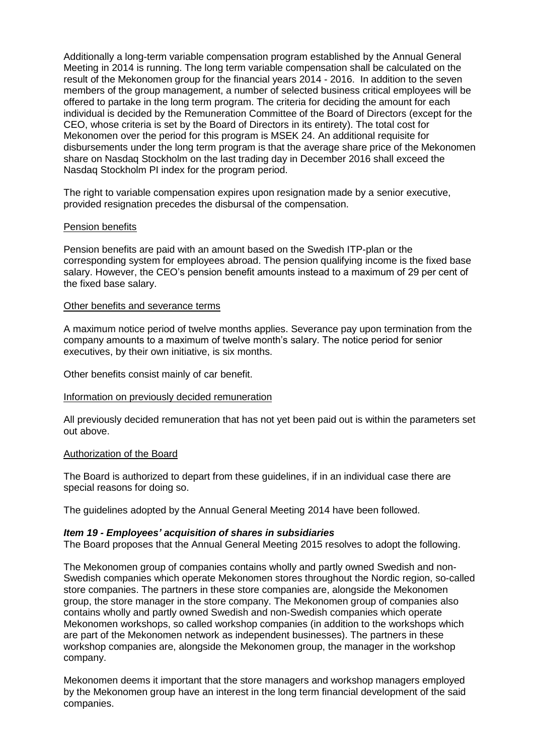Additionally a long-term variable compensation program established by the Annual General Meeting in 2014 is running. The long term variable compensation shall be calculated on the result of the Mekonomen group for the financial years 2014 - 2016. In addition to the seven members of the group management, a number of selected business critical employees will be offered to partake in the long term program. The criteria for deciding the amount for each individual is decided by the Remuneration Committee of the Board of Directors (except for the CEO, whose criteria is set by the Board of Directors in its entirety). The total cost for Mekonomen over the period for this program is MSEK 24. An additional requisite for disbursements under the long term program is that the average share price of the Mekonomen share on Nasdaq Stockholm on the last trading day in December 2016 shall exceed the Nasdaq Stockholm PI index for the program period.

The right to variable compensation expires upon resignation made by a senior executive, provided resignation precedes the disbursal of the compensation.

#### Pension benefits

Pension benefits are paid with an amount based on the Swedish ITP-plan or the corresponding system for employees abroad. The pension qualifying income is the fixed base salary. However, the CEO's pension benefit amounts instead to a maximum of 29 per cent of the fixed base salary.

#### Other benefits and severance terms

A maximum notice period of twelve months applies. Severance pay upon termination from the company amounts to a maximum of twelve month's salary. The notice period for senior executives, by their own initiative, is six months.

Other benefits consist mainly of car benefit.

#### Information on previously decided remuneration

All previously decided remuneration that has not yet been paid out is within the parameters set out above.

#### Authorization of the Board

The Board is authorized to depart from these guidelines, if in an individual case there are special reasons for doing so.

The guidelines adopted by the Annual General Meeting 2014 have been followed.

# *Item 19 - Employees' acquisition of shares in subsidiaries*

The Board proposes that the Annual General Meeting 2015 resolves to adopt the following.

The Mekonomen group of companies contains wholly and partly owned Swedish and non-Swedish companies which operate Mekonomen stores throughout the Nordic region, so-called store companies. The partners in these store companies are, alongside the Mekonomen group, the store manager in the store company. The Mekonomen group of companies also contains wholly and partly owned Swedish and non-Swedish companies which operate Mekonomen workshops, so called workshop companies (in addition to the workshops which are part of the Mekonomen network as independent businesses). The partners in these workshop companies are, alongside the Mekonomen group, the manager in the workshop company.

Mekonomen deems it important that the store managers and workshop managers employed by the Mekonomen group have an interest in the long term financial development of the said companies.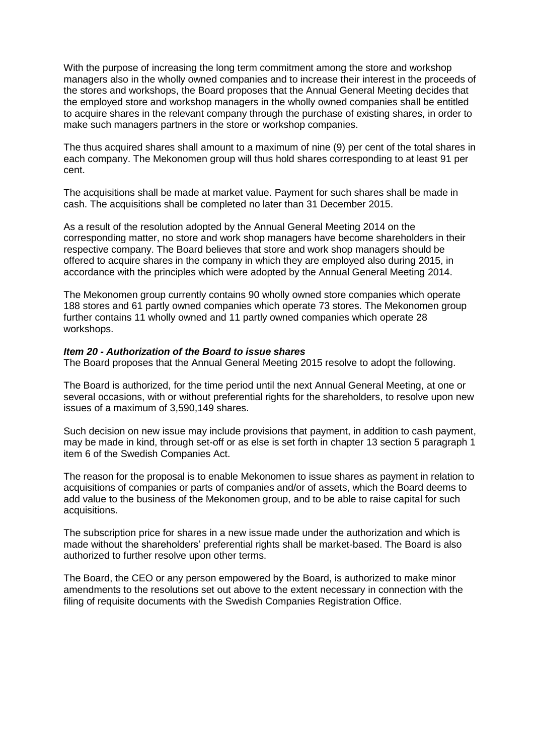With the purpose of increasing the long term commitment among the store and workshop managers also in the wholly owned companies and to increase their interest in the proceeds of the stores and workshops, the Board proposes that the Annual General Meeting decides that the employed store and workshop managers in the wholly owned companies shall be entitled to acquire shares in the relevant company through the purchase of existing shares, in order to make such managers partners in the store or workshop companies.

The thus acquired shares shall amount to a maximum of nine (9) per cent of the total shares in each company. The Mekonomen group will thus hold shares corresponding to at least 91 per cent.

The acquisitions shall be made at market value. Payment for such shares shall be made in cash. The acquisitions shall be completed no later than 31 December 2015.

As a result of the resolution adopted by the Annual General Meeting 2014 on the corresponding matter, no store and work shop managers have become shareholders in their respective company. The Board believes that store and work shop managers should be offered to acquire shares in the company in which they are employed also during 2015, in accordance with the principles which were adopted by the Annual General Meeting 2014.

The Mekonomen group currently contains 90 wholly owned store companies which operate 188 stores and 61 partly owned companies which operate 73 stores. The Mekonomen group further contains 11 wholly owned and 11 partly owned companies which operate 28 workshops.

#### *Item 20 - Authorization of the Board to issue shares*

The Board proposes that the Annual General Meeting 2015 resolve to adopt the following.

The Board is authorized, for the time period until the next Annual General Meeting, at one or several occasions, with or without preferential rights for the shareholders, to resolve upon new issues of a maximum of 3,590,149 shares.

Such decision on new issue may include provisions that payment, in addition to cash payment, may be made in kind, through set-off or as else is set forth in chapter 13 section 5 paragraph 1 item 6 of the Swedish Companies Act.

The reason for the proposal is to enable Mekonomen to issue shares as payment in relation to acquisitions of companies or parts of companies and/or of assets, which the Board deems to add value to the business of the Mekonomen group, and to be able to raise capital for such acquisitions.

The subscription price for shares in a new issue made under the authorization and which is made without the shareholders' preferential rights shall be market-based. The Board is also authorized to further resolve upon other terms.

The Board, the CEO or any person empowered by the Board, is authorized to make minor amendments to the resolutions set out above to the extent necessary in connection with the filing of requisite documents with the Swedish Companies Registration Office.